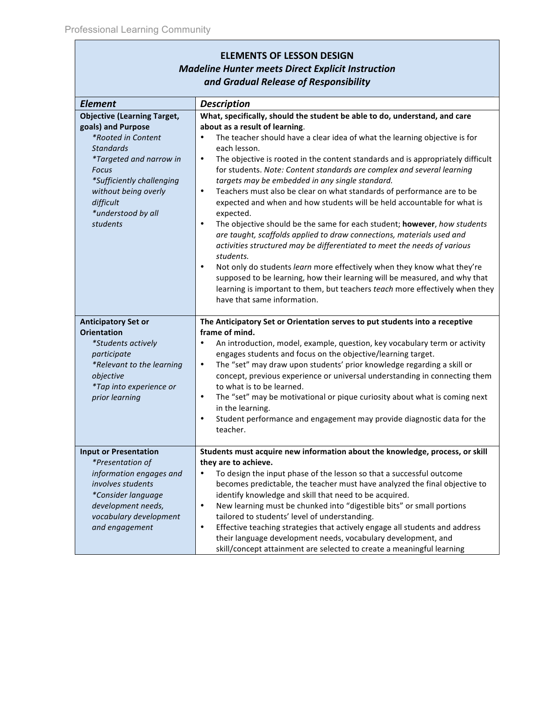| <b>ELEMENTS OF LESSON DESIGN</b><br><b>Madeline Hunter meets Direct Explicit Instruction</b>                                                                                                                                                      |                                                                                                                                                                                                                                                                                                                                                                                                                                                                                                                                                                                                                                                                                                                                                                                                                                                                                                                                                                                                                                                                                                                                                                                     |  |
|---------------------------------------------------------------------------------------------------------------------------------------------------------------------------------------------------------------------------------------------------|-------------------------------------------------------------------------------------------------------------------------------------------------------------------------------------------------------------------------------------------------------------------------------------------------------------------------------------------------------------------------------------------------------------------------------------------------------------------------------------------------------------------------------------------------------------------------------------------------------------------------------------------------------------------------------------------------------------------------------------------------------------------------------------------------------------------------------------------------------------------------------------------------------------------------------------------------------------------------------------------------------------------------------------------------------------------------------------------------------------------------------------------------------------------------------------|--|
|                                                                                                                                                                                                                                                   |                                                                                                                                                                                                                                                                                                                                                                                                                                                                                                                                                                                                                                                                                                                                                                                                                                                                                                                                                                                                                                                                                                                                                                                     |  |
|                                                                                                                                                                                                                                                   |                                                                                                                                                                                                                                                                                                                                                                                                                                                                                                                                                                                                                                                                                                                                                                                                                                                                                                                                                                                                                                                                                                                                                                                     |  |
| <b>Element</b>                                                                                                                                                                                                                                    | <b>Description</b>                                                                                                                                                                                                                                                                                                                                                                                                                                                                                                                                                                                                                                                                                                                                                                                                                                                                                                                                                                                                                                                                                                                                                                  |  |
| <b>Objective (Learning Target,</b><br>goals) and Purpose<br>*Rooted in Content<br><b>Standards</b><br><i>*Targeted and narrow in</i><br>Focus<br>*Sufficiently challenging<br>without being overly<br>difficult<br>*understood by all<br>students | What, specifically, should the student be able to do, understand, and care<br>about as a result of learning.<br>The teacher should have a clear idea of what the learning objective is for<br>$\bullet$<br>each lesson.<br>The objective is rooted in the content standards and is appropriately difficult<br>$\bullet$<br>for students. Note: Content standards are complex and several learning<br>targets may be embedded in any single standard.<br>Teachers must also be clear on what standards of performance are to be<br>$\bullet$<br>expected and when and how students will be held accountable for what is<br>expected.<br>The objective should be the same for each student; however, how students<br>$\bullet$<br>are taught, scaffolds applied to draw connections, materials used and<br>activities structured may be differentiated to meet the needs of various<br>students.<br>Not only do students learn more effectively when they know what they're<br>$\bullet$<br>supposed to be learning, how their learning will be measured, and why that<br>learning is important to them, but teachers teach more effectively when they<br>have that same information. |  |
| <b>Anticipatory Set or</b>                                                                                                                                                                                                                        | The Anticipatory Set or Orientation serves to put students into a receptive                                                                                                                                                                                                                                                                                                                                                                                                                                                                                                                                                                                                                                                                                                                                                                                                                                                                                                                                                                                                                                                                                                         |  |
| <b>Orientation</b>                                                                                                                                                                                                                                | frame of mind.                                                                                                                                                                                                                                                                                                                                                                                                                                                                                                                                                                                                                                                                                                                                                                                                                                                                                                                                                                                                                                                                                                                                                                      |  |
| *Students actively                                                                                                                                                                                                                                | An introduction, model, example, question, key vocabulary term or activity<br>$\bullet$                                                                                                                                                                                                                                                                                                                                                                                                                                                                                                                                                                                                                                                                                                                                                                                                                                                                                                                                                                                                                                                                                             |  |
| participate<br>*Relevant to the learning                                                                                                                                                                                                          | engages students and focus on the objective/learning target.<br>The "set" may draw upon students' prior knowledge regarding a skill or<br>$\bullet$                                                                                                                                                                                                                                                                                                                                                                                                                                                                                                                                                                                                                                                                                                                                                                                                                                                                                                                                                                                                                                 |  |
| objective<br>*Tap into experience or                                                                                                                                                                                                              | concept, previous experience or universal understanding in connecting them<br>to what is to be learned.                                                                                                                                                                                                                                                                                                                                                                                                                                                                                                                                                                                                                                                                                                                                                                                                                                                                                                                                                                                                                                                                             |  |
| prior learning                                                                                                                                                                                                                                    | The "set" may be motivational or pique curiosity about what is coming next<br>$\bullet$<br>in the learning.                                                                                                                                                                                                                                                                                                                                                                                                                                                                                                                                                                                                                                                                                                                                                                                                                                                                                                                                                                                                                                                                         |  |
|                                                                                                                                                                                                                                                   | Student performance and engagement may provide diagnostic data for the<br>$\bullet$<br>teacher.                                                                                                                                                                                                                                                                                                                                                                                                                                                                                                                                                                                                                                                                                                                                                                                                                                                                                                                                                                                                                                                                                     |  |
| <b>Input or Presentation</b>                                                                                                                                                                                                                      | Students must acquire new information about the knowledge, process, or skill                                                                                                                                                                                                                                                                                                                                                                                                                                                                                                                                                                                                                                                                                                                                                                                                                                                                                                                                                                                                                                                                                                        |  |
| <i>*Presentation of</i>                                                                                                                                                                                                                           | they are to achieve.                                                                                                                                                                                                                                                                                                                                                                                                                                                                                                                                                                                                                                                                                                                                                                                                                                                                                                                                                                                                                                                                                                                                                                |  |
| information engages and<br>involves students                                                                                                                                                                                                      | To design the input phase of the lesson so that a successful outcome<br>$\bullet$<br>becomes predictable, the teacher must have analyzed the final objective to                                                                                                                                                                                                                                                                                                                                                                                                                                                                                                                                                                                                                                                                                                                                                                                                                                                                                                                                                                                                                     |  |
| *Consider language                                                                                                                                                                                                                                | identify knowledge and skill that need to be acquired.                                                                                                                                                                                                                                                                                                                                                                                                                                                                                                                                                                                                                                                                                                                                                                                                                                                                                                                                                                                                                                                                                                                              |  |
| development needs,                                                                                                                                                                                                                                | $\bullet$<br>New learning must be chunked into "digestible bits" or small portions                                                                                                                                                                                                                                                                                                                                                                                                                                                                                                                                                                                                                                                                                                                                                                                                                                                                                                                                                                                                                                                                                                  |  |
| vocabulary development                                                                                                                                                                                                                            | tailored to students' level of understanding.                                                                                                                                                                                                                                                                                                                                                                                                                                                                                                                                                                                                                                                                                                                                                                                                                                                                                                                                                                                                                                                                                                                                       |  |
| and engagement                                                                                                                                                                                                                                    | $\bullet$<br>Effective teaching strategies that actively engage all students and address                                                                                                                                                                                                                                                                                                                                                                                                                                                                                                                                                                                                                                                                                                                                                                                                                                                                                                                                                                                                                                                                                            |  |
|                                                                                                                                                                                                                                                   | their language development needs, vocabulary development, and                                                                                                                                                                                                                                                                                                                                                                                                                                                                                                                                                                                                                                                                                                                                                                                                                                                                                                                                                                                                                                                                                                                       |  |
|                                                                                                                                                                                                                                                   | skill/concept attainment are selected to create a meaningful learning                                                                                                                                                                                                                                                                                                                                                                                                                                                                                                                                                                                                                                                                                                                                                                                                                                                                                                                                                                                                                                                                                                               |  |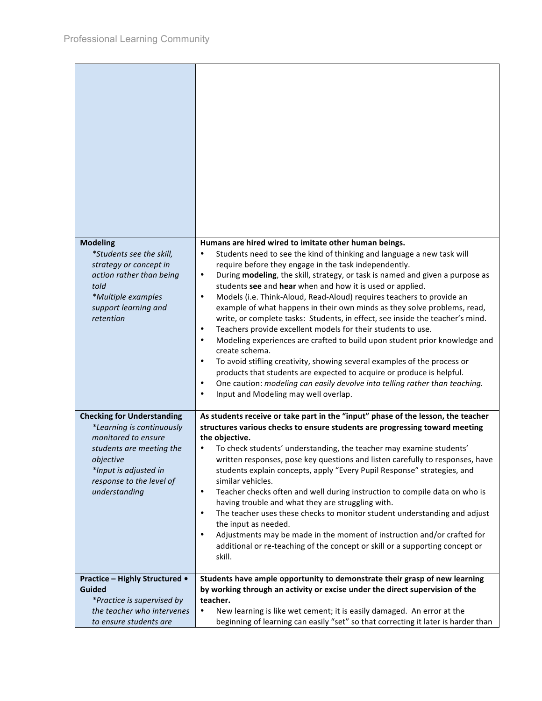| <b>Modeling</b><br>*Students see the skill,<br>strategy or concept in<br>action rather than being<br>told<br>*Multiple examples<br>support learning and<br>retention                                 | Humans are hired wired to imitate other human beings.<br>Students need to see the kind of thinking and language a new task will<br>$\bullet$<br>require before they engage in the task independently.<br>During modeling, the skill, strategy, or task is named and given a purpose as<br>$\bullet$<br>students see and hear when and how it is used or applied.<br>Models (i.e. Think-Aloud, Read-Aloud) requires teachers to provide an<br>$\bullet$<br>example of what happens in their own minds as they solve problems, read,<br>write, or complete tasks: Students, in effect, see inside the teacher's mind.<br>Teachers provide excellent models for their students to use.<br>$\bullet$<br>Modeling experiences are crafted to build upon student prior knowledge and<br>$\bullet$<br>create schema.<br>To avoid stifling creativity, showing several examples of the process or<br>$\bullet$<br>products that students are expected to acquire or produce is helpful.<br>One caution: modeling can easily devolve into telling rather than teaching.<br>$\bullet$<br>Input and Modeling may well overlap.<br>$\bullet$ |
|------------------------------------------------------------------------------------------------------------------------------------------------------------------------------------------------------|----------------------------------------------------------------------------------------------------------------------------------------------------------------------------------------------------------------------------------------------------------------------------------------------------------------------------------------------------------------------------------------------------------------------------------------------------------------------------------------------------------------------------------------------------------------------------------------------------------------------------------------------------------------------------------------------------------------------------------------------------------------------------------------------------------------------------------------------------------------------------------------------------------------------------------------------------------------------------------------------------------------------------------------------------------------------------------------------------------------------------------|
| <b>Checking for Understanding</b><br>*Learning is continuously<br>monitored to ensure<br>students are meeting the<br>objective<br>*Input is adjusted in<br>response to the level of<br>understanding | As students receive or take part in the "input" phase of the lesson, the teacher<br>structures various checks to ensure students are progressing toward meeting<br>the objective.<br>To check students' understanding, the teacher may examine students'<br>written responses, pose key questions and listen carefully to responses, have<br>students explain concepts, apply "Every Pupil Response" strategies, and<br>similar vehicles.<br>Teacher checks often and well during instruction to compile data on who is<br>$\bullet$<br>having trouble and what they are struggling with.<br>The teacher uses these checks to monitor student understanding and adjust<br>$\bullet$<br>the input as needed.<br>Adjustments may be made in the moment of instruction and/or crafted for<br>$\bullet$<br>additional or re-teaching of the concept or skill or a supporting concept or<br>skill.                                                                                                                                                                                                                                    |
| <b>Practice - Highly Structured •</b>                                                                                                                                                                | Students have ample opportunity to demonstrate their grasp of new learning                                                                                                                                                                                                                                                                                                                                                                                                                                                                                                                                                                                                                                                                                                                                                                                                                                                                                                                                                                                                                                                       |
| <b>Guided</b>                                                                                                                                                                                        | by working through an activity or excise under the direct supervision of the                                                                                                                                                                                                                                                                                                                                                                                                                                                                                                                                                                                                                                                                                                                                                                                                                                                                                                                                                                                                                                                     |
| *Practice is supervised by                                                                                                                                                                           | teacher.                                                                                                                                                                                                                                                                                                                                                                                                                                                                                                                                                                                                                                                                                                                                                                                                                                                                                                                                                                                                                                                                                                                         |
| the teacher who intervenes<br>to ensure students are                                                                                                                                                 | New learning is like wet cement; it is easily damaged. An error at the<br>$\bullet$<br>beginning of learning can easily "set" so that correcting it later is harder than                                                                                                                                                                                                                                                                                                                                                                                                                                                                                                                                                                                                                                                                                                                                                                                                                                                                                                                                                         |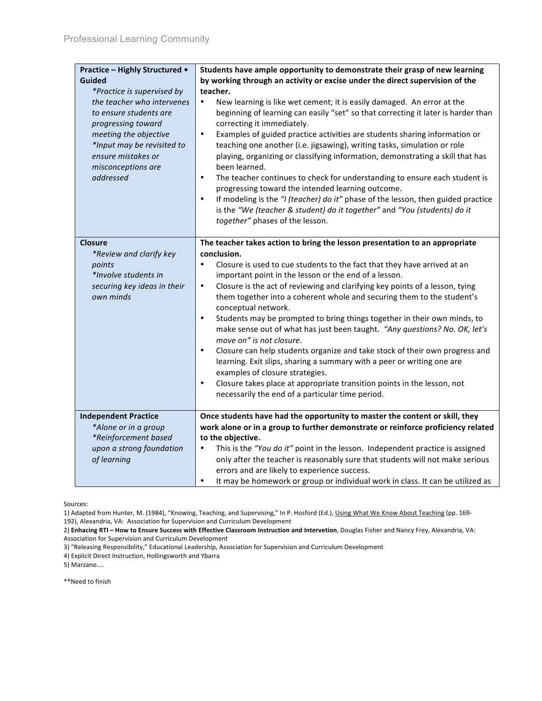| <b>Practice - Highly Structured •</b>                                                                        | Students have ample opportunity to demonstrate their grasp of new learning                                                                                                                                                                                                                                                                                                                                                                                                                                                                                                                                                             |
|--------------------------------------------------------------------------------------------------------------|----------------------------------------------------------------------------------------------------------------------------------------------------------------------------------------------------------------------------------------------------------------------------------------------------------------------------------------------------------------------------------------------------------------------------------------------------------------------------------------------------------------------------------------------------------------------------------------------------------------------------------------|
| Guided                                                                                                       | by working through an activity or excise under the direct supervision of the                                                                                                                                                                                                                                                                                                                                                                                                                                                                                                                                                           |
| *Practice is supervised by                                                                                   | teacher.                                                                                                                                                                                                                                                                                                                                                                                                                                                                                                                                                                                                                               |
| the teacher who intervenes<br>to ensure students are<br>progressing toward                                   | New learning is like wet cement; it is easily damaged. An error at the<br>$\bullet$<br>beginning of learning can easily "set" so that correcting it later is harder than<br>correcting it immediately.                                                                                                                                                                                                                                                                                                                                                                                                                                 |
| meeting the objective<br>*Input may be revisited to<br>ensure mistakes or<br>misconceptions are<br>addressed | Examples of guided practice activities are students sharing information or<br>$\bullet$<br>teaching one another (i.e. jigsawing), writing tasks, simulation or role<br>playing, organizing or classifying information, demonstrating a skill that has<br>been learned.<br>$\bullet$<br>The teacher continues to check for understanding to ensure each student is<br>progressing toward the intended learning outcome.<br>If modeling is the "I (teacher) do it" phase of the lesson, then guided practice<br>$\bullet$<br>is the "We (teacher & student) do it together" and "You (students) do it<br>together" phases of the lesson. |
| <b>Closure</b>                                                                                               | The teacher takes action to bring the lesson presentation to an appropriate                                                                                                                                                                                                                                                                                                                                                                                                                                                                                                                                                            |
| *Review and clarify key                                                                                      | conclusion.                                                                                                                                                                                                                                                                                                                                                                                                                                                                                                                                                                                                                            |
| points                                                                                                       | Closure is used to cue students to the fact that they have arrived at an<br>$\bullet$                                                                                                                                                                                                                                                                                                                                                                                                                                                                                                                                                  |
| *Involve students in                                                                                         | important point in the lesson or the end of a lesson.                                                                                                                                                                                                                                                                                                                                                                                                                                                                                                                                                                                  |
| securing key ideas in their                                                                                  | Closure is the act of reviewing and clarifying key points of a lesson, tying<br>$\bullet$                                                                                                                                                                                                                                                                                                                                                                                                                                                                                                                                              |
| own minds                                                                                                    | them together into a coherent whole and securing them to the student's<br>conceptual network.                                                                                                                                                                                                                                                                                                                                                                                                                                                                                                                                          |
|                                                                                                              | Students may be prompted to bring things together in their own minds, to<br>$\bullet$                                                                                                                                                                                                                                                                                                                                                                                                                                                                                                                                                  |
|                                                                                                              | make sense out of what has just been taught. "Any questions? No. OK, let's<br>move on" is not closure.                                                                                                                                                                                                                                                                                                                                                                                                                                                                                                                                 |
|                                                                                                              | $\bullet$<br>Closure can help students organize and take stock of their own progress and<br>learning. Exit slips, sharing a summary with a peer or writing one are                                                                                                                                                                                                                                                                                                                                                                                                                                                                     |
|                                                                                                              | examples of closure strategies.                                                                                                                                                                                                                                                                                                                                                                                                                                                                                                                                                                                                        |
|                                                                                                              | Closure takes place at appropriate transition points in the lesson, not<br>$\bullet$                                                                                                                                                                                                                                                                                                                                                                                                                                                                                                                                                   |
|                                                                                                              | necessarily the end of a particular time period.                                                                                                                                                                                                                                                                                                                                                                                                                                                                                                                                                                                       |
| <b>Independent Practice</b>                                                                                  | Once students have had the opportunity to master the content or skill, they                                                                                                                                                                                                                                                                                                                                                                                                                                                                                                                                                            |
| *Alone or in a group                                                                                         | work alone or in a group to further demonstrate or reinforce proficiency related                                                                                                                                                                                                                                                                                                                                                                                                                                                                                                                                                       |
| *Reinforcement based                                                                                         | to the objective.                                                                                                                                                                                                                                                                                                                                                                                                                                                                                                                                                                                                                      |
| upon a strong foundation                                                                                     | This is the "You do it" point in the lesson. Independent practice is assigned<br>$\bullet$                                                                                                                                                                                                                                                                                                                                                                                                                                                                                                                                             |
| of learning                                                                                                  | only after the teacher is reasonably sure that students will not make serious                                                                                                                                                                                                                                                                                                                                                                                                                                                                                                                                                          |
|                                                                                                              | errors and are likely to experience success.                                                                                                                                                                                                                                                                                                                                                                                                                                                                                                                                                                                           |
|                                                                                                              | It may be homework or group or individual work in class. It can be utilized as<br>$\bullet$                                                                                                                                                                                                                                                                                                                                                                                                                                                                                                                                            |

Sources:

1) Adapted from Hunter, M. (1984), "Knowing, Teaching, and Supervising," In P. Hosford (Ed.), <u>Using What We Know About Teachin</u>g (pp. 169-192), Alexandria, VA: Association for Supervision and Curriculum Development

192), Alexandria, VA: Association for Supervision and Curriculum Development<br>2) **Enhacing RTI – How to Ensure Success with Effective Classroom Instruction and Intervetion**, Douglas Fisher and Nancy Frey, Alexandria, VA: Association
for
Supervision
and
Curriculum
Development

3)
"Releasing
Responsibility,"
Educational
Leadership,
Association
for
Supervision
and
Curriculum
Development

4)
Explicit
Direct
Instruction,
Hollingsworth
and
Ybarra

5)
Marzano....

\*\*Need
to
finish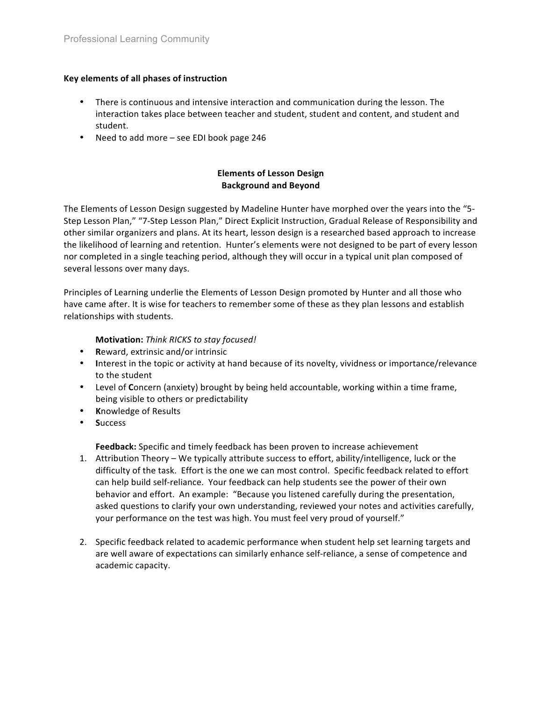### **Key
elements
of
all
phases
of
instruction**

- There is continuous and intensive interaction and communication during the lesson. The interaction
takes
place
between
teacher
and
student,
student
and
content,
and
student
and student.
- Need
to
add
more
–
see
EDI
book
page
246

# **Elements
of
Lesson
Design Background
and
Beyond**

The Elements of Lesson Design suggested by Madeline Hunter have morphed over the years into the "5-Step Lesson Plan," "7-Step Lesson Plan," Direct Explicit Instruction, Gradual Release of Responsibility and other
similar
organizers
and
plans.
At
its
heart,
lesson
design
is
a
researched
based
approach
to
increase the likelihood of learning and retention. Hunter's elements were not designed to be part of every lesson nor completed in a single teaching period, although they will occur in a typical unit plan composed of several
lessons
over
many
days.

Principles of Learning underlie the Elements of Lesson Design promoted by Hunter and all those who have came after. It is wise for teachers to remember some of these as they plan lessons and establish relationships
with
students.

## **Motivation:** *Think
RICKS
to
stay
focused!*

- **R**eward,
extrinsic
and/or
intrinsic
- Interest in the topic or activity at hand because of its novelty, vividness or importance/relevance to
the
student
- Level of Concern (anxiety) brought by being held accountable, working within a time frame, being
visible
to
others
or
predictability
- **K**nowledge
of
Results
- **S**uccess

Feedback: Specific and timely feedback has been proven to increase achievement

- 1. Attribution Theory We typically attribute success to effort, ability/intelligence, luck or the difficulty of the task. Effort is the one we can most control. Specific feedback related to effort can help build self-reliance. Your feedback can help students see the power of their own behavior and effort. An example: "Because you listened carefully during the presentation, asked questions to clarify your own understanding, reviewed your notes and activities carefully, your performance on the test was high. You must feel very proud of yourself."
- 2. Specific feedback related to academic performance when student help set learning targets and are well aware of expectations can similarly enhance self-reliance, a sense of competence and academic
capacity.